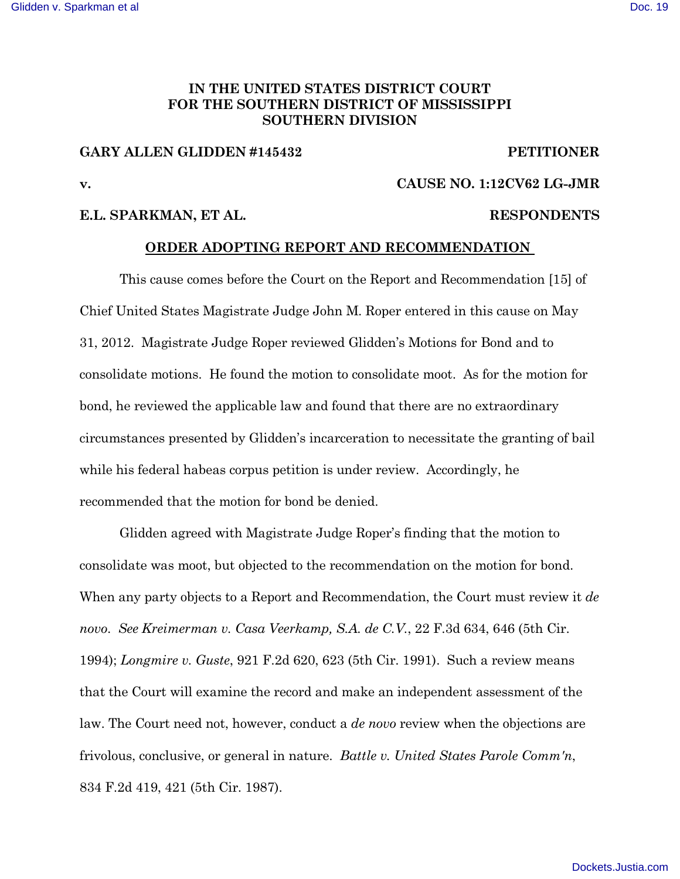## **IN THE UNITED STATES DISTRICT COURT FOR THE SOUTHERN DISTRICT OF MISSISSIPPI SOUTHERN DIVISION**

#### **GARY ALLEN GLIDDEN #145432 PETITIONER**

# **v. CAUSE NO. 1:12CV62 LG-JMR**

### **E.L. SPARKMAN, ET AL. RESPONDENTS**

#### **ORDER ADOPTING REPORT AND RECOMMENDATION**

This cause comes before the Court on the Report and Recommendation [15] of Chief United States Magistrate Judge John M. Roper entered in this cause on May 31, 2012. Magistrate Judge Roper reviewed Glidden's Motions for Bond and to consolidate motions. He found the motion to consolidate moot. As for the motion for bond, he reviewed the applicable law and found that there are no extraordinary circumstances presented by Glidden's incarceration to necessitate the granting of bail while his federal habeas corpus petition is under review. Accordingly, he recommended that the motion for bond be denied.

Glidden agreed with Magistrate Judge Roper's finding that the motion to consolidate was moot, but objected to the recommendation on the motion for bond. When any party objects to a Report and Recommendation, the Court must review it *de novo*. *See Kreimerman v. Casa Veerkamp, S.A. de C.V.*, 22 F.3d 634, 646 (5th Cir. 1994); *Longmire v. Guste*, 921 F.2d 620, 623 (5th Cir. 1991). Such a review means that the Court will examine the record and make an independent assessment of the law. The Court need not, however, conduct a *de novo* review when the objections are frivolous, conclusive, or general in nature. *Battle v. United States Parole Comm'n*, 834 F.2d 419, 421 (5th Cir. 1987).